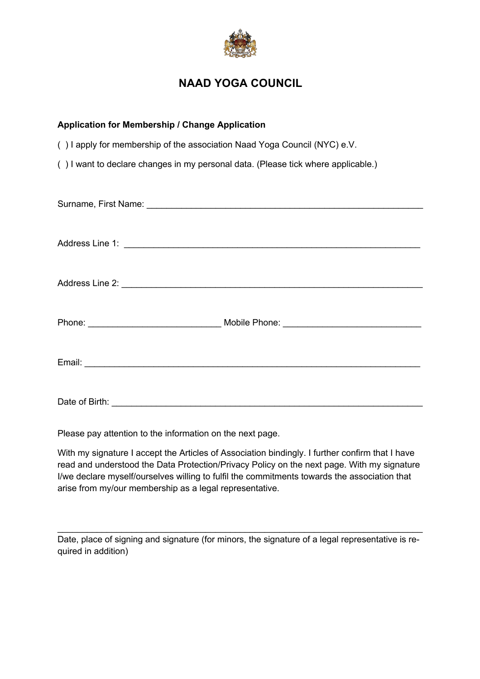

## **NAAD YOGA COUNCIL**

| <b>Application for Membership / Change Application</b>                            |
|-----------------------------------------------------------------------------------|
| () I apply for membership of the association Naad Yoga Council (NYC) e.V.         |
| () I want to declare changes in my personal data. (Please tick where applicable.) |
|                                                                                   |
|                                                                                   |
|                                                                                   |
|                                                                                   |
|                                                                                   |
|                                                                                   |

Please pay attention to the information on the next page.

With my signature I accept the Articles of Association bindingly. I further confirm that I have read and understood the Data Protection/Privacy Policy on the next page. With my signature I/we declare myself/ourselves willing to fulfil the commitments towards the association that arise from my/our membership as a legal representative.

Date, place of signing and signature (for minors, the signature of a legal representative is required in addition)

 $\mathcal{L}_\text{max} = \mathcal{L}_\text{max} = \mathcal{L}_\text{max} = \mathcal{L}_\text{max} = \mathcal{L}_\text{max} = \mathcal{L}_\text{max} = \mathcal{L}_\text{max} = \mathcal{L}_\text{max} = \mathcal{L}_\text{max} = \mathcal{L}_\text{max} = \mathcal{L}_\text{max} = \mathcal{L}_\text{max} = \mathcal{L}_\text{max} = \mathcal{L}_\text{max} = \mathcal{L}_\text{max} = \mathcal{L}_\text{max} = \mathcal{L}_\text{max} = \mathcal{L}_\text{max} = \mathcal{$